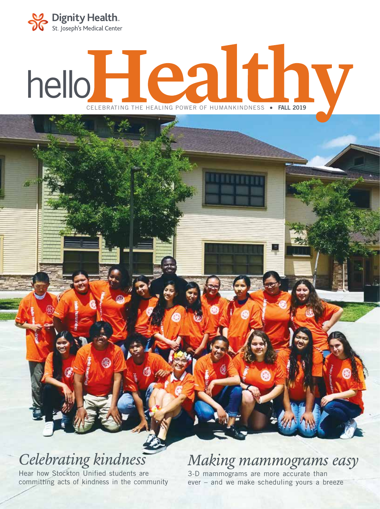

# $heil$ **Healthv** CELEBRATING THE HEALING POWER OF HUMANKINDNESS . FALL 2019

## *Celebrating kindness*

Hear how Stockton Unified students are committing acts of kindness in the community

### *Making mammograms easy*

3-D mammograms are more accurate than ever – and we make scheduling yours a breeze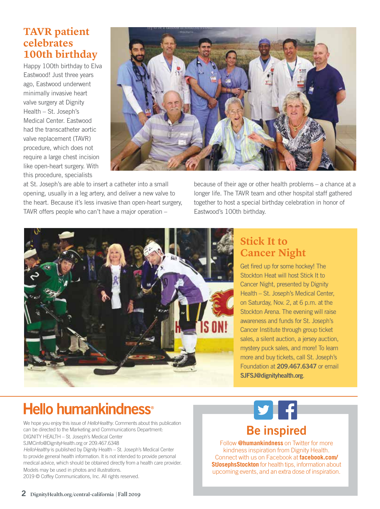#### **TAVR patient celebrates 100th birthday**

Happy 100th birthday to Elva Eastwood! Just three years ago, Eastwood underwent minimally invasive heart valve surgery at Dignity Health – St. Joseph's Medical Center. Eastwood had the transcatheter aortic valve replacement (TAVR) procedure, which does not require a large chest incision like open-heart surgery. With this procedure, specialists



at St. Joseph's are able to insert a catheter into a small opening, usually in a leg artery, and deliver a new valve to the heart. Because it's less invasive than open-heart surgery, TAVR offers people who can't have a major operation –

because of their age or other health problems – a chance at a longer life. The TAVR team and other hospital staff gathered together to host a special birthday celebration in honor of Eastwood's 100th birthday.



#### **Stick It to Cancer Night**

Get fired up for some hockey! The Stockton Heat will host Stick It to Cancer Night, presented by Dignity Health – St. Joseph's Medical Center, on Saturday, Nov. 2, at 6 p.m. at the Stockton Arena. The evening will raise awareness and funds for St. Joseph's Cancer Institute through group ticket sales, a silent auction, a jersey auction, mystery puck sales, and more! To learn more and buy tickets, call St. Joseph's Foundation at 209.467.6347 or email SJFSJ@dignityhealth.org.

Facebook "f" Logo C MYK / .ai

### **Hello humankindness<sup>®</sup>**

We hope you enjoy this issue of *HelloHealthy*. Comments about this publication can be directed to the Marketing and Communications Department: DIGNITY HEALTH – St. Joseph's Medical Center SJMCinfo@DignityHealth.org or 209.467.6348

*HelloHealthy* is published by Dignity Health – St. Joseph's Medical Center to provide general health information. It is not intended to provide personal medical advice, which should be obtained directly from a health care provider. Models may be used in photos and illustrations.

2019 © Coffey Communications, Inc. All rights reserved.



Follow **@humankindness** on Twitter for more kindness inspiration from Dignity Health. Connect with us on Facebook at **facebook.com/ StJosephsStockton** for health tips, information about upcoming events, and an extra dose of inspiration.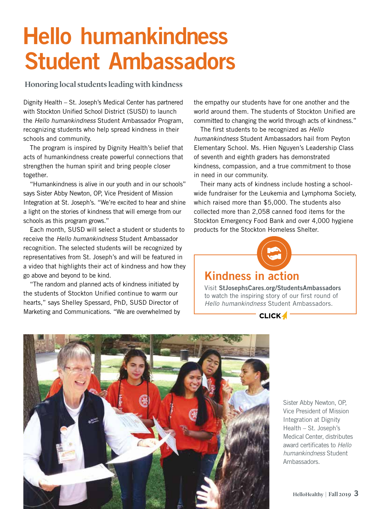# Hello humankindness Student Ambassadors

Honoring local students leading with kindness

Dignity Health – St. Joseph's Medical Center has partnered with Stockton Unified School District (SUSD) to launch the *Hello humankindness* Student Ambassador Program, recognizing students who help spread kindness in their schools and community.

The program is inspired by Dignity Health's belief that acts of humankindness create powerful connections that strengthen the human spirit and bring people closer together.

"Humankindness is alive in our youth and in our schools" says Sister Abby Newton, OP, Vice President of Mission Integration at St. Joseph's. "We're excited to hear and shine a light on the stories of kindness that will emerge from our schools as this program grows."

Each month, SUSD will select a student or students to receive the *Hello humankindness* Student Ambassador recognition. The selected students will be recognized by representatives from St. Joseph's and will be featured in a video that highlights their act of kindness and how they go above and beyond to be kind.

"The random and planned acts of kindness initiated by the students of Stockton Unified continue to warm our hearts," says Shelley Spessard, PhD, SUSD Director of Marketing and Communications. "We are overwhelmed by the empathy our students have for one another and the world around them. The students of Stockton Unified are committed to changing the world through acts of kindness."

The first students to be recognized as *Hello humankindness* Student Ambassadors hail from Peyton Elementary School. Ms. Hien Nguyen's Leadership Class of seventh and eighth graders has demonstrated kindness, compassion, and a true commitment to those in need in our community.

Their many acts of kindness include hosting a schoolwide fundraiser for the Leukemia and Lymphoma Society, which raised more than \$5,000. The students also collected more than 2,058 canned food items for the Stockton Emergency Food Bank and over 4,000 hygiene products for the Stockton Homeless Shelter.



#### Kindness in action

Visit StJosephsCares.org/StudentsAmbassadors to watch the inspiring story of our first round of *Hello humankindness* Student Ambassadors.

**CLICK4** 



Sister Abby Newton, OP, Vice President of Mission Integration at Dignity Health – St. Joseph's Medical Center, distributes award certificates to *Hello humankindness* Student Ambassadors.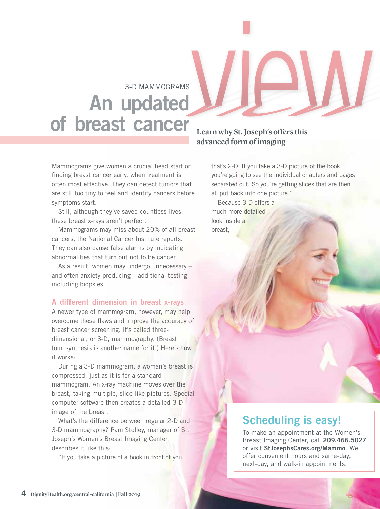### 3-D MAMMOGRAMS An updated of breast cancer

Mammograms give women a crucial head start on finding breast cancer early, when treatment is often most effective. They can detect tumors that are still too tiny to feel and identify cancers before symptoms start.

Still, although they've saved countless lives, these breast x-rays aren't perfect.

Mammograms may miss about 20% of all breast cancers, the National Cancer Institute reports. They can also cause false alarms by indicating abnormalities that turn out not to be cancer.

As a result, women may undergo unnecessary – and often anxiety-producing – additional testing, including biopsies.

#### A different dimension in breast x-rays

A newer type of mammogram, however, may help overcome these flaws and improve the accuracy of breast cancer screening. It's called threedimensional, or 3-D, mammography. (Breast tomosynthesis is another name for it.) Here's how it works:

During a 3-D mammogram, a woman's breast is compressed, just as it is for a standard mammogram. An x-ray machine moves over the breast, taking multiple, slice-like pictures. Special computer software then creates a detailed 3-D image of the breast.

What's the difference between regular 2-D and 3-D mammography? Pam Stolley, manager of St. Joseph's Women's Breast Imaging Center, describes it like this:

"If you take a picture of a book in front of you,

#### Learn why St. Joseph's offers this advanced form of imaging

that's 2-D. If you take a 3-D picture of the book, you're going to see the individual chapters and pages separated out. So you're getting slices that are then all put back into one picture."

Because 3-D offers a much more detailed look inside a breast,

#### Scheduling is easy!

To make an appointment at the Women's Breast Imaging Center, call 209.466.5027 or visit StJosephsCares.org/Mammo. We offer convenient hours and same-day, next-day, and walk-in appointments.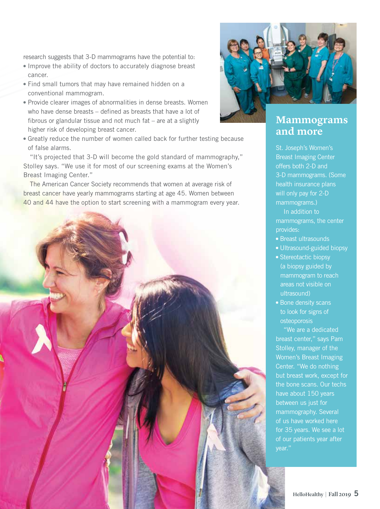research suggests that 3-D mammograms have the potential to:

- Improve the ability of doctors to accurately diagnose breast cancer.
- Find small tumors that may have remained hidden on a conventional mammogram.
- Provide clearer images of abnormalities in dense breasts. Women who have dense breasts – defined as breasts that have a lot of fibrous or glandular tissue and not much fat – are at a slightly higher risk of developing breast cancer.
- Greatly reduce the number of women called back for further testing because of false alarms.

"It's projected that 3-D will become the gold standard of mammography," Stolley says. "We use it for most of our screening exams at the Women's Breast Imaging Center."

The American Cancer Society recommends that women at average risk of breast cancer have yearly mammograms starting at age 45. Women between 40 and 44 have the option to start screening with a mammogram every year.





#### **Mammograms and more**

St. Joseph's Women's Breast Imaging Center offers both 2-D and 3-D mammograms. (Some health insurance plans will only pay for 2-D mammograms.)

In addition to mammograms, the center provides:

- Breast ultrasounds
- Ultrasound-guided biopsy
- Stereotactic biopsy (a biopsy guided by mammogram to reach areas not visible on ultrasound)
- Bone density scans to look for signs of osteoporosis

"We are a dedicated breast center," says Pam Stolley, manager of the Women's Breast Imaging Center. "We do nothing but breast work, except for the bone scans. Our techs have about 150 years between us just for mammography. Several of us have worked here for 35 years. We see a lot of our patients year after year."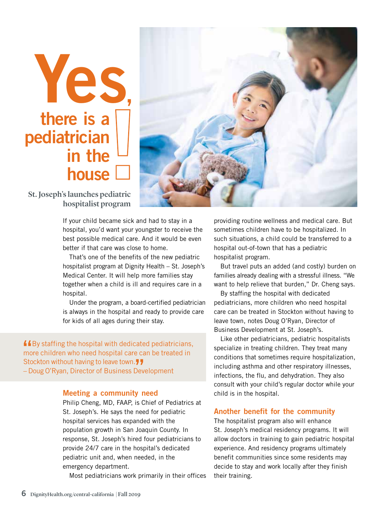# Yes, there is a pediatrician in the house [



St. Joseph's launches pediatric hospitalist program

> If your child became sick and had to stay in a hospital, you'd want your youngster to receive the best possible medical care. And it would be even better if that care was close to home.

That's one of the benefits of the new pediatric hospitalist program at Dignity Health – St. Joseph's Medical Center. It will help more families stay together when a child is ill and requires care in a hospital.

Under the program, a board-certified pediatrician is always in the hospital and ready to provide care for kids of all ages during their stay.

 $\blacksquare$  By staffing the hospital with dedicated pediatricians, more children who need hospital care can be treated in Stockton without having to leave town. – Doug O'Ryan, Director of Business Development "

#### Meeting a community need

Philip Cheng, MD, FAAP, is Chief of Pediatrics at St. Joseph's. He says the need for pediatric hospital services has expanded with the population growth in San Joaquin County. In response, St. Joseph's hired four pediatricians to provide 24/7 care in the hospital's dedicated pediatric unit and, when needed, in the emergency department.

Most pediatricians work primarily in their offices

providing routine wellness and medical care. But sometimes children have to be hospitalized. In such situations, a child could be transferred to a hospital out-of-town that has a pediatric hospitalist program.

But travel puts an added (and costly) burden on families already dealing with a stressful illness. "We want to help relieve that burden," Dr. Cheng says.

By staffing the hospital with dedicated pediatricians, more children who need hospital care can be treated in Stockton without having to leave town, notes Doug O'Ryan, Director of Business Development at St. Joseph's.

Like other pediatricians, pediatric hospitalists specialize in treating children. They treat many conditions that sometimes require hospitalization, including asthma and other respiratory illnesses, infections, the flu, and dehydration. They also consult with your child's regular doctor while your child is in the hospital.

#### Another benefit for the community

The hospitalist program also will enhance St. Joseph's medical residency programs. It will allow doctors in training to gain pediatric hospital experience. And residency programs ultimately benefit communities since some residents may decide to stay and work locally after they finish their training.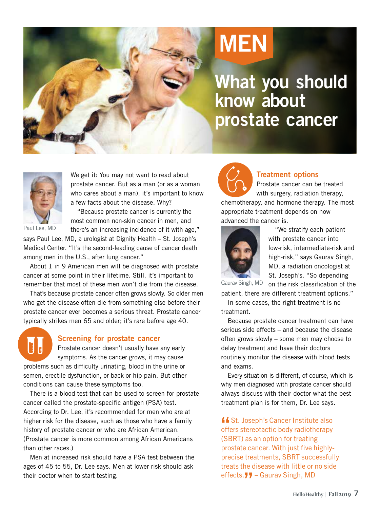

# MEN

What you should know about prostate cancer



Paul Lee, MD

We get it: You may not want to read about prostate cancer. But as a man (or as a woman who cares about a man), it's important to know a few facts about the disease. Why?

"Because prostate cancer is currently the most common non-skin cancer in men, and there's an increasing incidence of it with age,"

says Paul Lee, MD, a urologist at Dignity Health – St. Joseph's Medical Center. "It's the second-leading cause of cancer death among men in the U.S., after lung cancer."

About 1 in 9 American men will be diagnosed with prostate cancer at some point in their lifetime. Still, it's important to remember that most of these men won't die from the disease.

That's because prostate cancer often grows slowly. So older men who get the disease often die from something else before their prostate cancer ever becomes a serious threat. Prostate cancer typically strikes men 65 and older; it's rare before age 40.



#### Screening for prostate cancer

Prostate cancer doesn't usually have any early symptoms. As the cancer grows, it may cause problems such as difficulty urinating, blood in the urine or semen, erectile dysfunction, or back or hip pain. But other conditions can cause these symptoms too.

There is a blood test that can be used to screen for prostate cancer called the prostate-specific antigen (PSA) test. According to Dr. Lee, it's recommended for men who are at higher risk for the disease, such as those who have a family history of prostate cancer or who are African American. (Prostate cancer is more common among African Americans than other races.)

Men at increased risk should have a PSA test between the ages of 45 to 55, Dr. Lee says. Men at lower risk should ask their doctor when to start testing.



#### Treatment options

Prostate cancer can be treated with surgery, radiation therapy,

chemotherapy, and hormone therapy. The most appropriate treatment depends on how advanced the cancer is.



"We stratify each patient with prostate cancer into low-risk, intermediate-risk and high-risk," says Gaurav Singh, MD, a radiation oncologist at St. Joseph's. "So depending

on the risk classification of the Gaurav Singh, MD

patient, there are different treatment options." In some cases, the right treatment is no treatment.

Because prostate cancer treatment can have serious side effects – and because the disease often grows slowly – some men may choose to delay treatment and have their doctors routinely monitor the disease with blood tests and exams.

Every situation is different, of course, which is why men diagnosed with prostate cancer should always discuss with their doctor what the best treatment plan is for them, Dr. Lee says.

**"** St. Joseph's Cancer Institute also offers stereotactic body radiotherapy (SBRT) as an option for treating prostate cancer. With just five highlyprecise treatments, SBRT successfully treats the disease with little or no side effects. 77 – Gaurav Singh, MD<br>